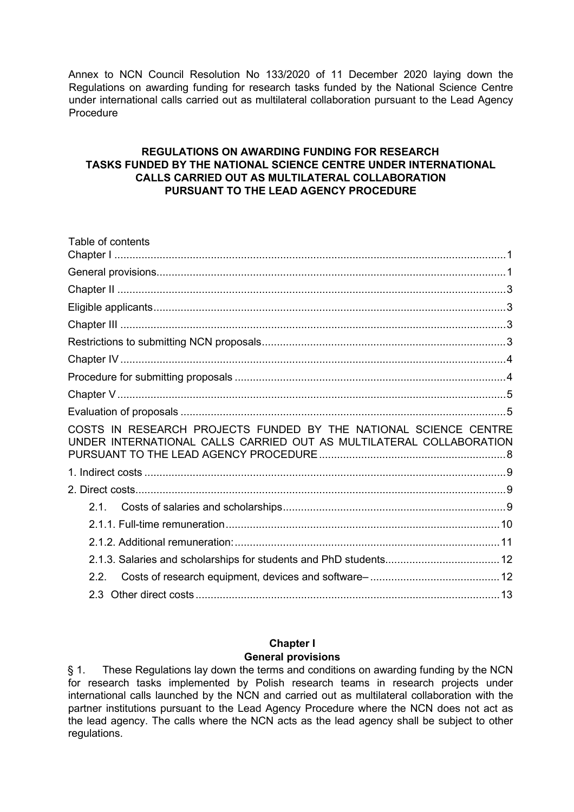Annex to NCN Council Resolution No 133/2020 of 11 December 2020 laying down the Regulations on awarding funding for research tasks funded by the National Science Centre under international calls carried out as multilateral collaboration pursuant to the Lead Agency Procedure

### **REGULATIONS ON AWARDING FUNDING FOR RESEARCH TASKS FUNDED BY THE NATIONAL SCIENCE CENTRE UNDER INTERNATIONAL CALLS CARRIED OUT AS MULTILATERAL COLLABORATION PURSUANT TO THE LEAD AGENCY PROCEDURE**

| Table of contents                                                                                                                       |  |
|-----------------------------------------------------------------------------------------------------------------------------------------|--|
|                                                                                                                                         |  |
|                                                                                                                                         |  |
|                                                                                                                                         |  |
|                                                                                                                                         |  |
|                                                                                                                                         |  |
|                                                                                                                                         |  |
|                                                                                                                                         |  |
|                                                                                                                                         |  |
|                                                                                                                                         |  |
|                                                                                                                                         |  |
| COSTS IN RESEARCH PROJECTS FUNDED BY THE NATIONAL SCIENCE CENTRE<br>UNDER INTERNATIONAL CALLS CARRIED OUT AS MULTILATERAL COLLABORATION |  |
|                                                                                                                                         |  |
|                                                                                                                                         |  |
| 2.1.                                                                                                                                    |  |
|                                                                                                                                         |  |
|                                                                                                                                         |  |
|                                                                                                                                         |  |
| 22                                                                                                                                      |  |
| $2.3 -$                                                                                                                                 |  |

#### **Chapter I General provisions**

<span id="page-0-1"></span><span id="page-0-0"></span>§ 1. These Regulations lay down the terms and conditions on awarding funding by the NCN for research tasks implemented by Polish research teams in research projects under international calls launched by the NCN and carried out as multilateral collaboration with the partner institutions pursuant to the Lead Agency Procedure where the NCN does not act as the lead agency. The calls where the NCN acts as the lead agency shall be subject to other regulations.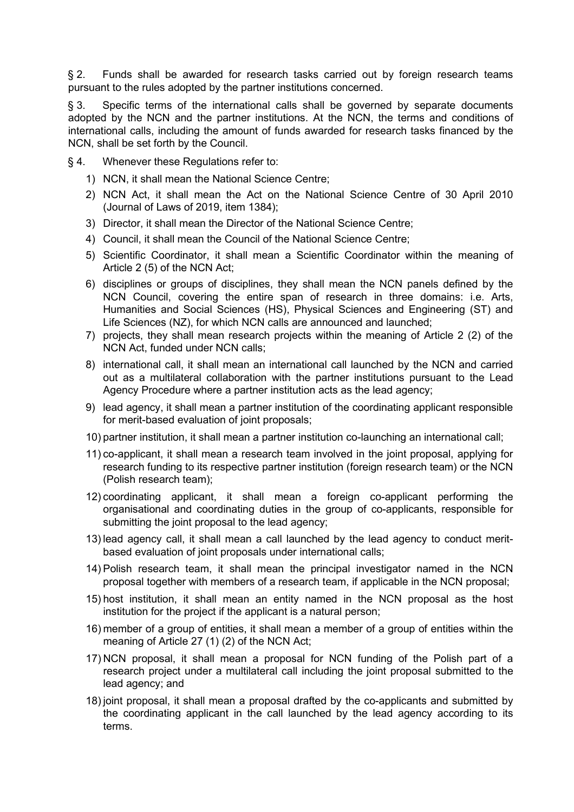§ 2. Funds shall be awarded for research tasks carried out by foreign research teams pursuant to the rules adopted by the partner institutions concerned.

§ 3. Specific terms of the international calls shall be governed by separate documents adopted by the NCN and the partner institutions. At the NCN, the terms and conditions of international calls, including the amount of funds awarded for research tasks financed by the NCN, shall be set forth by the Council.

- § 4. Whenever these Regulations refer to:
	- 1) NCN, it shall mean the National Science Centre;
	- 2) NCN Act, it shall mean the Act on the National Science Centre of 30 April 2010 (Journal of Laws of 2019, item 1384);
	- 3) Director, it shall mean the Director of the National Science Centre;
	- 4) Council, it shall mean the Council of the National Science Centre;
	- 5) Scientific Coordinator, it shall mean a Scientific Coordinator within the meaning of Article 2 (5) of the NCN Act;
	- 6) disciplines or groups of disciplines, they shall mean the NCN panels defined by the NCN Council, covering the entire span of research in three domains: i.e. Arts, Humanities and Social Sciences (HS), Physical Sciences and Engineering (ST) and Life Sciences (NZ), for which NCN calls are announced and launched;
	- 7) projects, they shall mean research projects within the meaning of Article 2 (2) of the NCN Act, funded under NCN calls;
	- 8) international call, it shall mean an international call launched by the NCN and carried out as a multilateral collaboration with the partner institutions pursuant to the Lead Agency Procedure where a partner institution acts as the lead agency;
	- 9) lead agency, it shall mean a partner institution of the coordinating applicant responsible for merit-based evaluation of joint proposals;
	- 10) partner institution, it shall mean a partner institution co-launching an international call;
	- 11) co-applicant, it shall mean a research team involved in the joint proposal, applying for research funding to its respective partner institution (foreign research team) or the NCN (Polish research team);
	- 12) coordinating applicant, it shall mean a foreign co-applicant performing the organisational and coordinating duties in the group of co-applicants, responsible for submitting the joint proposal to the lead agency;
	- 13) lead agency call, it shall mean a call launched by the lead agency to conduct meritbased evaluation of joint proposals under international calls;
	- 14) Polish research team, it shall mean the principal investigator named in the NCN proposal together with members of a research team, if applicable in the NCN proposal;
	- 15) host institution, it shall mean an entity named in the NCN proposal as the host institution for the project if the applicant is a natural person;
	- 16) member of a group of entities, it shall mean a member of a group of entities within the meaning of Article 27 (1) (2) of the NCN Act;
	- 17) NCN proposal, it shall mean a proposal for NCN funding of the Polish part of a research project under a multilateral call including the joint proposal submitted to the lead agency; and
	- 18) joint proposal, it shall mean a proposal drafted by the co-applicants and submitted by the coordinating applicant in the call launched by the lead agency according to its terms.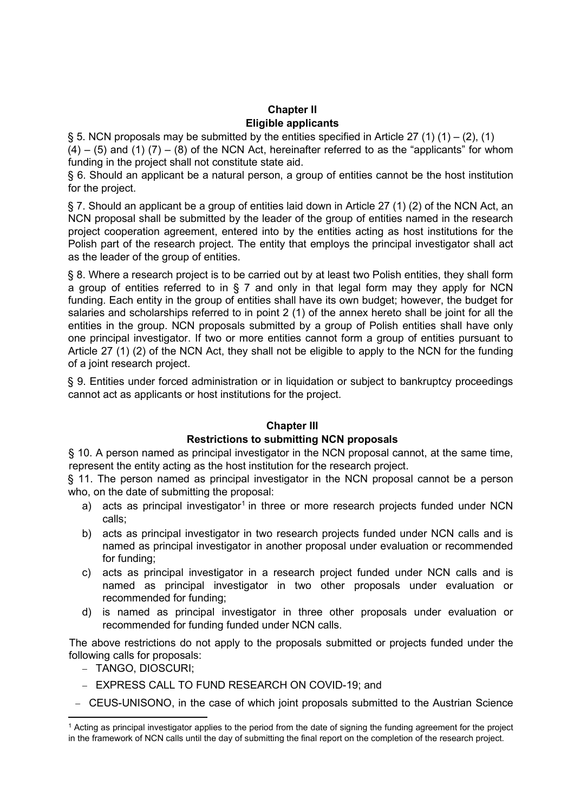## **Chapter II Eligible applicants**

<span id="page-2-1"></span><span id="page-2-0"></span>§ 5. NCN proposals may be submitted by the entities specified in Article 27 (1) (1) – (2), (1)

 $(4) - (5)$  and  $(1)$   $(7) - (8)$  of the NCN Act, hereinafter referred to as the "applicants" for whom funding in the project shall not constitute state aid.

§ 6. Should an applicant be a natural person, a group of entities cannot be the host institution for the project.

§ 7. Should an applicant be a group of entities laid down in Article 27 (1) (2) of the NCN Act, an NCN proposal shall be submitted by the leader of the group of entities named in the research project cooperation agreement, entered into by the entities acting as host institutions for the Polish part of the research project. The entity that employs the principal investigator shall act as the leader of the group of entities.

§ 8. Where a research project is to be carried out by at least two Polish entities, they shall form a group of entities referred to in § 7 and only in that legal form may they apply for NCN funding. Each entity in the group of entities shall have its own budget; however, the budget for salaries and scholarships referred to in point 2 (1) of the annex hereto shall be joint for all the entities in the group. NCN proposals submitted by a group of Polish entities shall have only one principal investigator. If two or more entities cannot form a group of entities pursuant to Article 27 (1) (2) of the NCN Act, they shall not be eligible to apply to the NCN for the funding of a joint research project.

§ 9. Entities under forced administration or in liquidation or subject to bankruptcy proceedings cannot act as applicants or host institutions for the project.

## **Chapter III**

## **Restrictions to submitting NCN proposals**

<span id="page-2-3"></span><span id="page-2-2"></span>§ 10. A person named as principal investigator in the NCN proposal cannot, at the same time, represent the entity acting as the host institution for the research project.

§ 11. The person named as principal investigator in the NCN proposal cannot be a person who, on the date of submitting the proposal:

- a) acts as principal investigator<sup>[1](#page-2-4)</sup> in three or more research projects funded under NCN calls;
- b) acts as principal investigator in two research projects funded under NCN calls and is named as principal investigator in another proposal under evaluation or recommended for funding;
- c) acts as principal investigator in a research project funded under NCN calls and is named as principal investigator in two other proposals under evaluation or recommended for funding;
- d) is named as principal investigator in three other proposals under evaluation or recommended for funding funded under NCN calls.

The above restrictions do not apply to the proposals submitted or projects funded under the following calls for proposals:

- − TANGO, DIOSCURI;
- − EXPRESS CALL TO FUND RESEARCH ON COVID-19; and
- − CEUS-UNISONO, in the case of which joint proposals submitted to the Austrian Science

<span id="page-2-4"></span><sup>1</sup> Acting as principal investigator applies to the period from the date of signing the funding agreement for the project in the framework of NCN calls until the day of submitting the final report on the completion of the research project.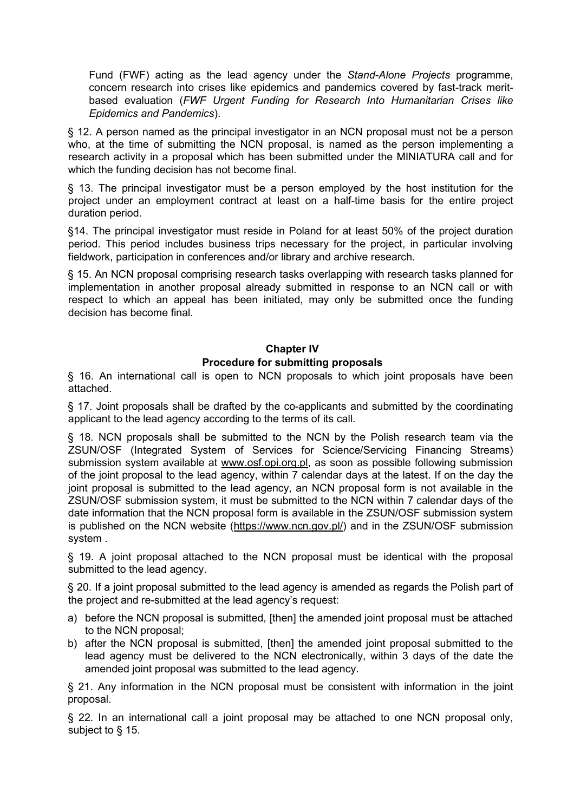Fund (FWF) acting as the lead agency under the *Stand-Alone Projects* programme, concern research into crises like epidemics and pandemics covered by fast-track meritbased evaluation (*FWF Urgent Funding for Research Into Humanitarian Crises like Epidemics and Pandemics*).

§ 12. A person named as the principal investigator in an NCN proposal must not be a person who, at the time of submitting the NCN proposal, is named as the person implementing a research activity in a proposal which has been submitted under the MINIATURA call and for which the funding decision has not become final.

§ 13. The principal investigator must be a person employed by the host institution for the project under an employment contract at least on a half-time basis for the entire project duration period.

§14. The principal investigator must reside in Poland for at least 50% of the project duration period. This period includes business trips necessary for the project, in particular involving fieldwork, participation in conferences and/or library and archive research.

§ 15. An NCN proposal comprising research tasks overlapping with research tasks planned for implementation in another proposal already submitted in response to an NCN call or with respect to which an appeal has been initiated, may only be submitted once the funding decision has become final.

# **Chapter IV Procedure for submitting proposals**

<span id="page-3-1"></span><span id="page-3-0"></span>§ 16. An international call is open to NCN proposals to which joint proposals have been attached.

§ 17. Joint proposals shall be drafted by the co-applicants and submitted by the coordinating applicant to the lead agency according to the terms of its call.

§ 18. NCN proposals shall be submitted to the NCN by the Polish research team via the ZSUN/OSF (Integrated System of Services for Science/Servicing Financing Streams) submission system available at [www.osf.opi.org.pl,](http://www.osf.opi.org.pl/) as soon as possible following submission of the joint proposal to the lead agency, within 7 calendar days at the latest. If on the day the joint proposal is submitted to the lead agency, an NCN proposal form is not available in the ZSUN/OSF submission system, it must be submitted to the NCN within 7 calendar days of the date information that the NCN proposal form is available in the ZSUN/OSF submission system is published on the NCN website [\(https://www.ncn.gov.pl/\)](https://www.ncn.gov.pl/) and in the ZSUN/OSF submission system .

§ 19. A joint proposal attached to the NCN proposal must be identical with the proposal submitted to the lead agency.

§ 20. If a joint proposal submitted to the lead agency is amended as regards the Polish part of the project and re-submitted at the lead agency's request:

- a) before the NCN proposal is submitted, [then] the amended joint proposal must be attached to the NCN proposal;
- b) after the NCN proposal is submitted, [then] the amended joint proposal submitted to the lead agency must be delivered to the NCN electronically, within 3 days of the date the amended joint proposal was submitted to the lead agency.

§ 21. Any information in the NCN proposal must be consistent with information in the joint proposal.

§ 22. In an international call a joint proposal may be attached to one NCN proposal only, subject to § 15.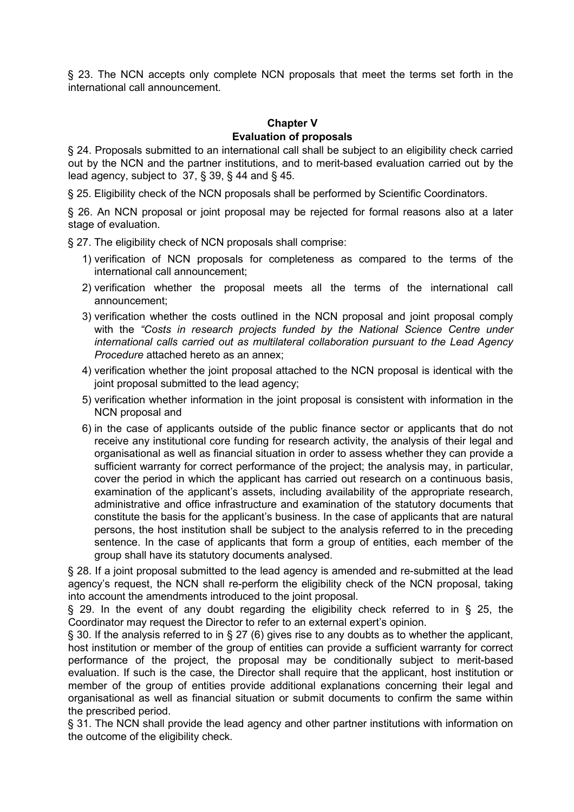§ 23. The NCN accepts only complete NCN proposals that meet the terms set forth in the international call announcement.

# **Chapter V Evaluation of proposals**

<span id="page-4-1"></span><span id="page-4-0"></span>§ 24. Proposals submitted to an international call shall be subject to an eligibility check carried out by the NCN and the partner institutions, and to merit-based evaluation carried out by the lead agency, subject to 37, § 39, § 44 and § 45.

§ 25. Eligibility check of the NCN proposals shall be performed by Scientific Coordinators.

§ 26. An NCN proposal or joint proposal may be rejected for formal reasons also at a later stage of evaluation.

§ 27. The eligibility check of NCN proposals shall comprise:

- 1) verification of NCN proposals for completeness as compared to the terms of the international call announcement;
- 2) verification whether the proposal meets all the terms of the international call announcement;
- 3) verification whether the costs outlined in the NCN proposal and joint proposal comply with the *"Costs in research projects funded by the National Science Centre under international calls carried out as multilateral collaboration pursuant to the Lead Agency Procedure* attached hereto as an annex;
- 4) verification whether the joint proposal attached to the NCN proposal is identical with the joint proposal submitted to the lead agency;
- 5) verification whether information in the joint proposal is consistent with information in the NCN proposal and
- 6) in the case of applicants outside of the public finance sector or applicants that do not receive any institutional core funding for research activity, the analysis of their legal and organisational as well as financial situation in order to assess whether they can provide a sufficient warranty for correct performance of the project; the analysis may, in particular, cover the period in which the applicant has carried out research on a continuous basis, examination of the applicant's assets, including availability of the appropriate research, administrative and office infrastructure and examination of the statutory documents that constitute the basis for the applicant's business. In the case of applicants that are natural persons, the host institution shall be subject to the analysis referred to in the preceding sentence. In the case of applicants that form a group of entities, each member of the group shall have its statutory documents analysed.

§ 28. If a joint proposal submitted to the lead agency is amended and re-submitted at the lead agency's request, the NCN shall re-perform the eligibility check of the NCN proposal, taking into account the amendments introduced to the joint proposal.

§ 29. In the event of any doubt regarding the eligibility check referred to in § 25, the Coordinator may request the Director to refer to an external expert's opinion.

§ 30. If the analysis referred to in § 27 (6) gives rise to any doubts as to whether the applicant, host institution or member of the group of entities can provide a sufficient warranty for correct performance of the project, the proposal may be conditionally subject to merit-based evaluation. If such is the case, the Director shall require that the applicant, host institution or member of the group of entities provide additional explanations concerning their legal and organisational as well as financial situation or submit documents to confirm the same within the prescribed period.

§ 31. The NCN shall provide the lead agency and other partner institutions with information on the outcome of the eligibility check.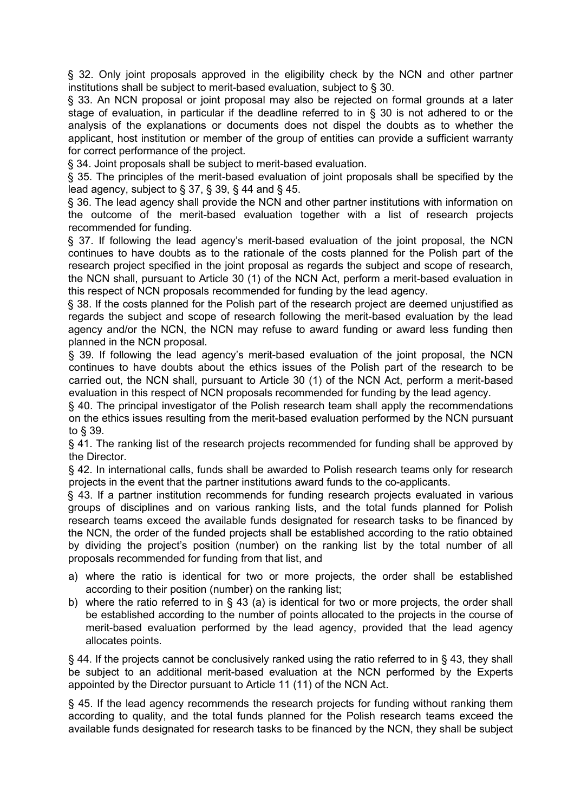§ 32. Only joint proposals approved in the eligibility check by the NCN and other partner institutions shall be subject to merit-based evaluation, subject to § 30.

§ 33. An NCN proposal or joint proposal may also be rejected on formal grounds at a later stage of evaluation, in particular if the deadline referred to in § 30 is not adhered to or the analysis of the explanations or documents does not dispel the doubts as to whether the applicant, host institution or member of the group of entities can provide a sufficient warranty for correct performance of the project.

§ 34. Joint proposals shall be subject to merit-based evaluation.

§ 35. The principles of the merit-based evaluation of joint proposals shall be specified by the lead agency, subject to § 37, § 39, § 44 and § 45.

§ 36. The lead agency shall provide the NCN and other partner institutions with information on the outcome of the merit-based evaluation together with a list of research projects recommended for funding.

§ 37. If following the lead agency's merit-based evaluation of the joint proposal, the NCN continues to have doubts as to the rationale of the costs planned for the Polish part of the research project specified in the joint proposal as regards the subject and scope of research, the NCN shall, pursuant to Article 30 (1) of the NCN Act, perform a merit-based evaluation in this respect of NCN proposals recommended for funding by the lead agency.

§ 38. If the costs planned for the Polish part of the research project are deemed unjustified as regards the subject and scope of research following the merit-based evaluation by the lead agency and/or the NCN, the NCN may refuse to award funding or award less funding then planned in the NCN proposal.

§ 39. If following the lead agency's merit-based evaluation of the joint proposal, the NCN continues to have doubts about the ethics issues of the Polish part of the research to be carried out, the NCN shall, pursuant to Article 30 (1) of the NCN Act, perform a merit-based evaluation in this respect of NCN proposals recommended for funding by the lead agency.

§ 40. The principal investigator of the Polish research team shall apply the recommendations on the ethics issues resulting from the merit-based evaluation performed by the NCN pursuant to § 39.

§ 41. The ranking list of the research projects recommended for funding shall be approved by the Director.

§ 42. In international calls, funds shall be awarded to Polish research teams only for research projects in the event that the partner institutions award funds to the co-applicants.

§ 43. If a partner institution recommends for funding research projects evaluated in various groups of disciplines and on various ranking lists, and the total funds planned for Polish research teams exceed the available funds designated for research tasks to be financed by the NCN, the order of the funded projects shall be established according to the ratio obtained by dividing the project's position (number) on the ranking list by the total number of all proposals recommended for funding from that list, and

- a) where the ratio is identical for two or more projects, the order shall be established according to their position (number) on the ranking list;
- b) where the ratio referred to in § 43 (a) is identical for two or more projects, the order shall be established according to the number of points allocated to the projects in the course of merit-based evaluation performed by the lead agency, provided that the lead agency allocates points.

§ 44. If the projects cannot be conclusively ranked using the ratio referred to in § 43, they shall be subject to an additional merit-based evaluation at the NCN performed by the Experts appointed by the Director pursuant to Article 11 (11) of the NCN Act.

§ 45. If the lead agency recommends the research projects for funding without ranking them according to quality, and the total funds planned for the Polish research teams exceed the available funds designated for research tasks to be financed by the NCN, they shall be subject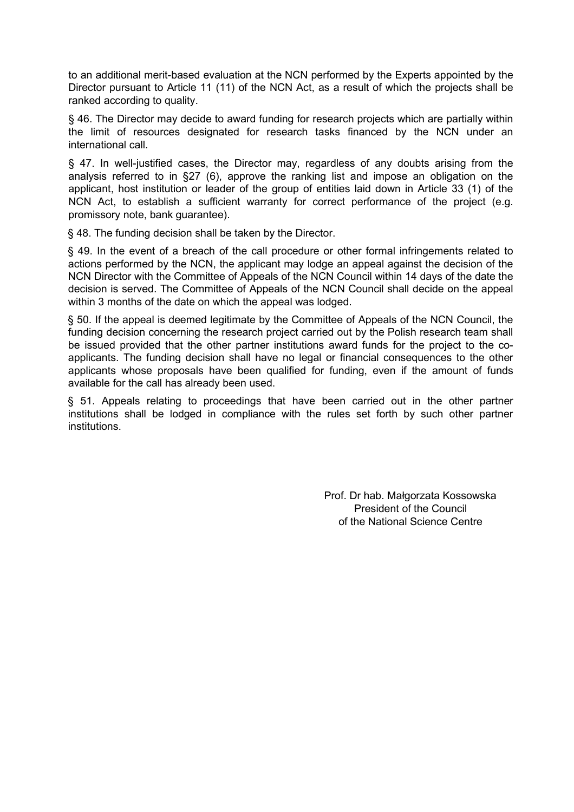to an additional merit-based evaluation at the NCN performed by the Experts appointed by the Director pursuant to Article 11 (11) of the NCN Act, as a result of which the projects shall be ranked according to quality.

§ 46. The Director may decide to award funding for research projects which are partially within the limit of resources designated for research tasks financed by the NCN under an international call.

§ 47. In well-justified cases, the Director may, regardless of any doubts arising from the analysis referred to in §27 (6), approve the ranking list and impose an obligation on the applicant, host institution or leader of the group of entities laid down in Article 33 (1) of the NCN Act, to establish a sufficient warranty for correct performance of the project (e.g. promissory note, bank guarantee).

§ 48. The funding decision shall be taken by the Director.

§ 49. In the event of a breach of the call procedure or other formal infringements related to actions performed by the NCN, the applicant may lodge an appeal against the decision of the NCN Director with the Committee of Appeals of the NCN Council within 14 days of the date the decision is served. The Committee of Appeals of the NCN Council shall decide on the appeal within 3 months of the date on which the appeal was lodged.

§ 50. If the appeal is deemed legitimate by the Committee of Appeals of the NCN Council, the funding decision concerning the research project carried out by the Polish research team shall be issued provided that the other partner institutions award funds for the project to the coapplicants. The funding decision shall have no legal or financial consequences to the other applicants whose proposals have been qualified for funding, even if the amount of funds available for the call has already been used.

§ 51. Appeals relating to proceedings that have been carried out in the other partner institutions shall be lodged in compliance with the rules set forth by such other partner institutions.

> Prof. Dr hab. Małgorzata Kossowska President of the Council of the National Science Centre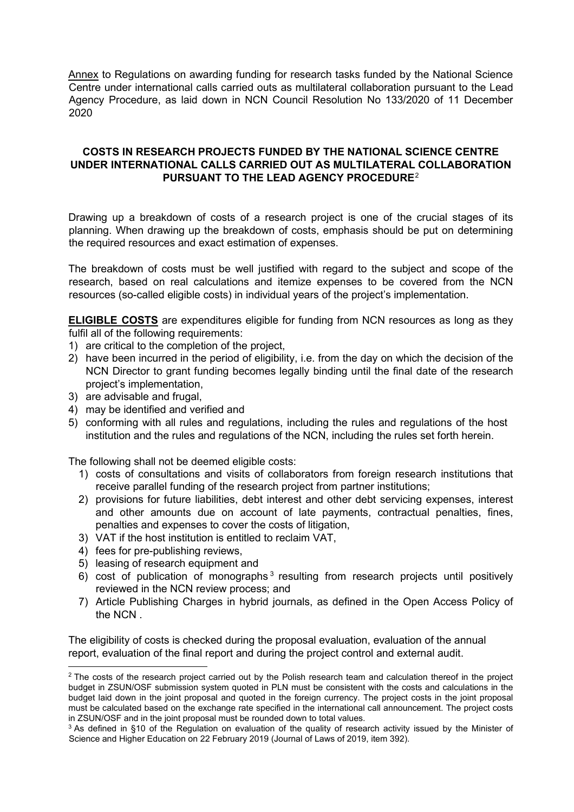Annex to Regulations on awarding funding for research tasks funded by the National Science Centre under international calls carried outs as multilateral collaboration pursuant to the Lead Agency Procedure, as laid down in NCN Council Resolution No 133/2020 of 11 December 2020

### <span id="page-7-0"></span>**COSTS IN RESEARCH PROJECTS FUNDED BY THE NATIONAL SCIENCE CENTRE UNDER INTERNATIONAL CALLS CARRIED OUT AS MULTILATERAL COLLABORATION PURSUANT TO THE LEAD AGENCY PROCEDURE**[2](#page-7-1)

Drawing up a breakdown of costs of a research project is one of the crucial stages of its planning. When drawing up the breakdown of costs, emphasis should be put on determining the required resources and exact estimation of expenses.

The breakdown of costs must be well justified with regard to the subject and scope of the research, based on real calculations and itemize expenses to be covered from the NCN resources (so-called eligible costs) in individual years of the project's implementation.

**ELIGIBLE COSTS** are expenditures eligible for funding from NCN resources as long as they fulfil all of the following requirements:

- 1) are critical to the completion of the project,
- 2) have been incurred in the period of eligibility, i.e. from the day on which the decision of the NCN Director to grant funding becomes legally binding until the final date of the research project's implementation,
- 3) are advisable and frugal,
- 4) may be identified and verified and
- 5) conforming with all rules and regulations, including the rules and regulations of the host institution and the rules and regulations of the NCN, including the rules set forth herein.

The following shall not be deemed eligible costs:

- 1) costs of consultations and visits of collaborators from foreign research institutions that receive parallel funding of the research project from partner institutions;
- 2) provisions for future liabilities, debt interest and other debt servicing expenses, interest and other amounts due on account of late payments, contractual penalties, fines, penalties and expenses to cover the costs of litigation,
- 3) VAT if the host institution is entitled to reclaim VAT,
- 4) fees for pre-publishing reviews,
- 5) leasing of research equipment and
- 6) cost of publication of monographs<sup>[3](#page-7-2)</sup> resulting from research projects until positively reviewed in the NCN review process; and
- 7) Article Publishing Charges in hybrid journals, as defined in the Open Access Policy of the NCN .

The eligibility of costs is checked during the proposal evaluation, evaluation of the annual report, evaluation of the final report and during the project control and external audit.

<span id="page-7-1"></span><sup>&</sup>lt;sup>2</sup> The costs of the research project carried out by the Polish research team and calculation thereof in the project budget in ZSUN/OSF submission system quoted in PLN must be consistent with the costs and calculations in the budget laid down in the joint proposal and quoted in the foreign currency. The project costs in the joint proposal must be calculated based on the exchange rate specified in the international call announcement. The project costs in ZSUN/OSF and in the joint proposal must be rounded down to total values.

<span id="page-7-2"></span> $3$  As defined in §10 of the Regulation on evaluation of the quality of research activity issued by the Minister of Science and Higher Education on 22 February 2019 (Journal of Laws of 2019, item 392).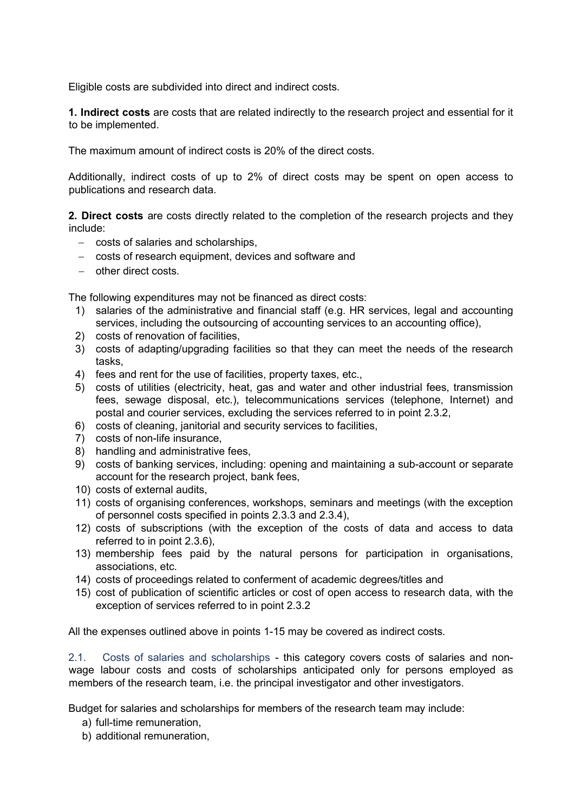Eligible costs are subdivided into direct and indirect costs.

<span id="page-8-0"></span>**1. Indirect costs** are costs that are related indirectly to the research project and essential for it to be implemented.

The maximum amount of indirect costs is 20% of the direct costs.

Additionally, indirect costs of up to 2% of direct costs may be spent on open access to publications and research data.

<span id="page-8-1"></span>**2. Direct costs** are costs directly related to the completion of the research projects and they include:

- − costs of salaries and scholarships,
- − costs of research equipment, devices and software and
- − other direct costs.

The following expenditures may not be financed as direct costs:

- 1) salaries of the administrative and financial staff (e.g. HR services, legal and accounting services, including the outsourcing of accounting services to an accounting office),
- 2) costs of renovation of facilities,
- 3) costs of adapting/upgrading facilities so that they can meet the needs of the research tasks,
- 4) fees and rent for the use of facilities, property taxes, etc.,
- 5) costs of utilities (electricity, heat, gas and water and other industrial fees, transmission fees, sewage disposal, etc.), telecommunications services (telephone, Internet) and postal and courier services, excluding the services referred to in point 2.3.2,
- 6) costs of cleaning, janitorial and security services to facilities,
- 7) costs of non-life insurance,
- 8) handling and administrative fees,
- 9) costs of banking services, including: opening and maintaining a sub-account or separate account for the research project, bank fees,
- 10) costs of external audits,
- 11) costs of organising conferences, workshops, seminars and meetings (with the exception of personnel costs specified in points 2.3.3 and 2.3.4),
- 12) costs of subscriptions (with the exception of the costs of data and access to data referred to in point 2.3.6),
- 13) membership fees paid by the natural persons for participation in organisations, associations, etc.
- 14) costs of proceedings related to conferment of academic degrees/titles and
- 15) cost of publication of scientific articles or cost of open access to research data, with the exception of services referred to in point 2.3.2

All the expenses outlined above in points 1-15 may be covered as indirect costs.

<span id="page-8-2"></span>2.1. Costs of salaries and scholarships - this category covers costs of salaries and nonwage labour costs and costs of scholarships anticipated only for persons employed as members of the research team, i.e. the principal investigator and other investigators.

Budget for salaries and scholarships for members of the research team may include:

- a) full-time remuneration,
- b) additional remuneration,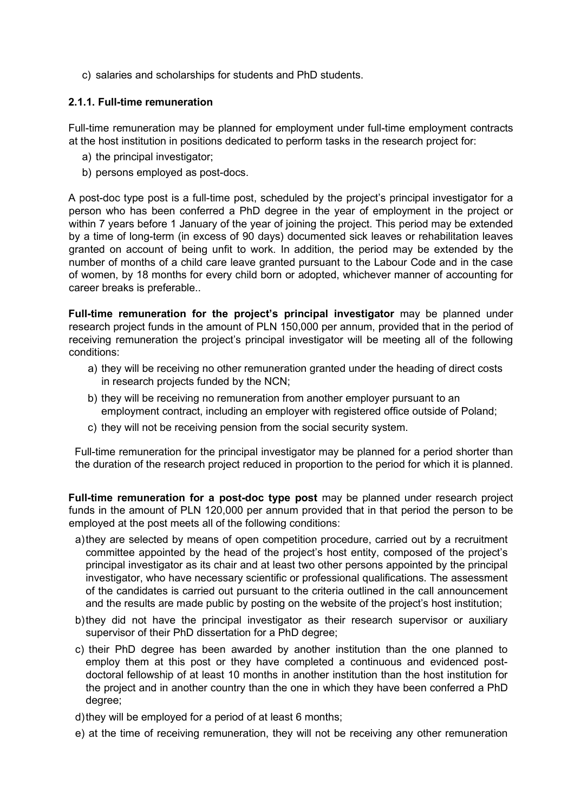c) salaries and scholarships for students and PhD students.

## <span id="page-9-0"></span>**2.1.1. Full-time remuneration**

Full-time remuneration may be planned for employment under full-time employment contracts at the host institution in positions dedicated to perform tasks in the research project for:

- a) the principal investigator;
- b) persons employed as post-docs.

A post-doc type post is a full-time post, scheduled by the project's principal investigator for a person who has been conferred a PhD degree in the year of employment in the project or within 7 years before 1 January of the year of joining the project. This period may be extended by a time of long-term (in excess of 90 days) documented sick leaves or rehabilitation leaves granted on account of being unfit to work. In addition, the period may be extended by the number of months of a child care leave granted pursuant to the Labour Code and in the case of women, by 18 months for every child born or adopted, whichever manner of accounting for career breaks is preferable..

**Full-time remuneration for the project's principal investigator** may be planned under research project funds in the amount of PLN 150,000 per annum, provided that in the period of receiving remuneration the project's principal investigator will be meeting all of the following conditions:

- a) they will be receiving no other remuneration granted under the heading of direct costs in research projects funded by the NCN;
- b) they will be receiving no remuneration from another employer pursuant to an employment contract, including an employer with registered office outside of Poland;
- c) they will not be receiving pension from the social security system.

Full-time remuneration for the principal investigator may be planned for a period shorter than the duration of the research project reduced in proportion to the period for which it is planned.

**Full-time remuneration for a post-doc type post** may be planned under research project funds in the amount of PLN 120,000 per annum provided that in that period the person to be employed at the post meets all of the following conditions:

- a)they are selected by means of open competition procedure, carried out by a recruitment committee appointed by the head of the project's host entity, composed of the project's principal investigator as its chair and at least two other persons appointed by the principal investigator, who have necessary scientific or professional qualifications. The assessment of the candidates is carried out pursuant to the criteria outlined in the call announcement and the results are made public by posting on the website of the project's host institution;
- b)they did not have the principal investigator as their research supervisor or auxiliary supervisor of their PhD dissertation for a PhD degree;
- c) their PhD degree has been awarded by another institution than the one planned to employ them at this post or they have completed a continuous and evidenced postdoctoral fellowship of at least 10 months in another institution than the host institution for the project and in another country than the one in which they have been conferred a PhD degree;
- d)they will be employed for a period of at least 6 months;
- e) at the time of receiving remuneration, they will not be receiving any other remuneration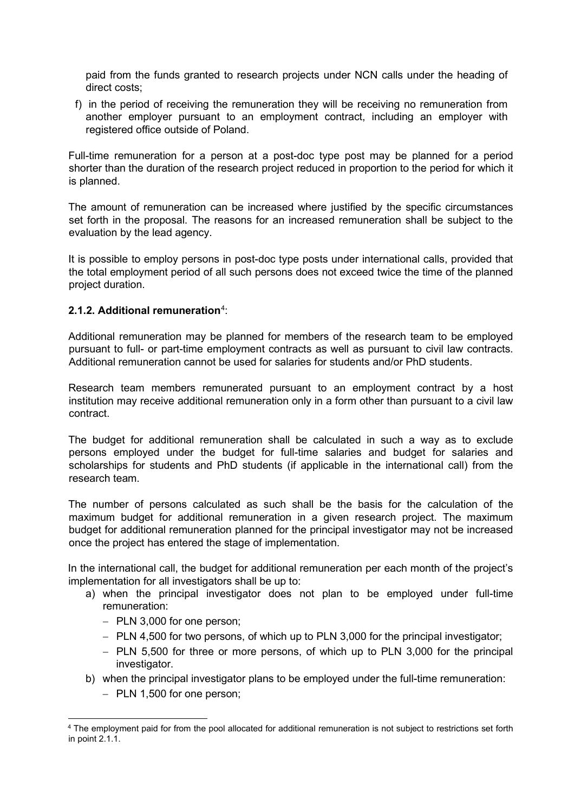paid from the funds granted to research projects under NCN calls under the heading of direct costs;

f) in the period of receiving the remuneration they will be receiving no remuneration from another employer pursuant to an employment contract, including an employer with registered office outside of Poland.

Full-time remuneration for a person at a post-doc type post may be planned for a period shorter than the duration of the research project reduced in proportion to the period for which it is planned.

The amount of remuneration can be increased where justified by the specific circumstances set forth in the proposal. The reasons for an increased remuneration shall be subject to the evaluation by the lead agency.

It is possible to employ persons in post-doc type posts under international calls, provided that the total employment period of all such persons does not exceed twice the time of the planned project duration.

## <span id="page-10-0"></span>**2.1.2. Additional remuneration**[4](#page-10-1) :

Additional remuneration may be planned for members of the research team to be employed pursuant to full- or part-time employment contracts as well as pursuant to civil law contracts. Additional remuneration cannot be used for salaries for students and/or PhD students.

Research team members remunerated pursuant to an employment contract by a host institution may receive additional remuneration only in a form other than pursuant to a civil law contract.

The budget for additional remuneration shall be calculated in such a way as to exclude persons employed under the budget for full-time salaries and budget for salaries and scholarships for students and PhD students (if applicable in the international call) from the research team.

The number of persons calculated as such shall be the basis for the calculation of the maximum budget for additional remuneration in a given research project. The maximum budget for additional remuneration planned for the principal investigator may not be increased once the project has entered the stage of implementation.

In the international call, the budget for additional remuneration per each month of the project's implementation for all investigators shall be up to:

- a) when the principal investigator does not plan to be employed under full-time remuneration:
	- − PLN 3,000 for one person;
	- − PLN 4,500 for two persons, of which up to PLN 3,000 for the principal investigator;
	- − PLN 5,500 for three or more persons, of which up to PLN 3,000 for the principal investigator.
- b) when the principal investigator plans to be employed under the full-time remuneration:
	- − PLN 1,500 for one person;

<span id="page-10-1"></span><sup>4</sup> The employment paid for from the pool allocated for additional remuneration is not subject to restrictions set forth in point 2.1.1.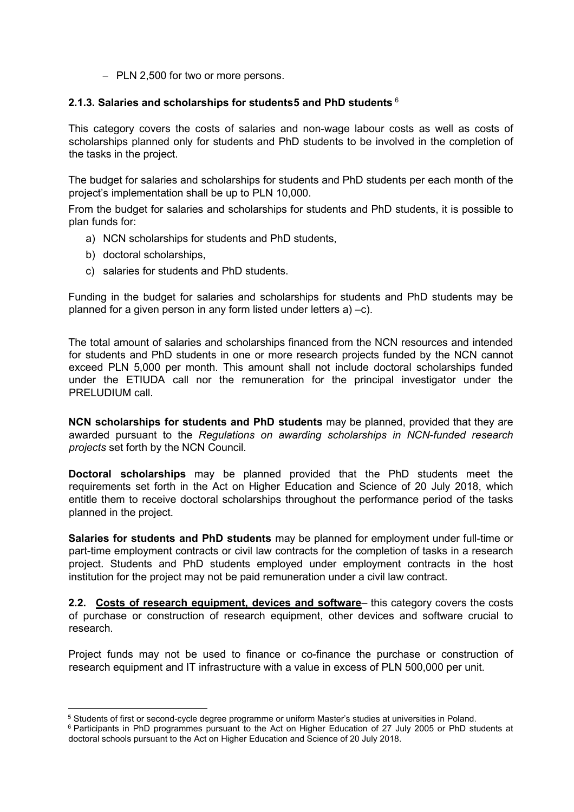− PLN 2,500 for two or more persons.

#### <span id="page-11-0"></span>**2.1.3. Salaries and scholarships for students[5](#page-11-2) and PhD students** [6](#page-11-3)

This category covers the costs of salaries and non-wage labour costs as well as costs of scholarships planned only for students and PhD students to be involved in the completion of the tasks in the project.

The budget for salaries and scholarships for students and PhD students per each month of the project's implementation shall be up to PLN 10,000.

From the budget for salaries and scholarships for students and PhD students, it is possible to plan funds for:

- a) NCN scholarships for students and PhD students,
- b) doctoral scholarships,
- c) salaries for students and PhD students.

Funding in the budget for salaries and scholarships for students and PhD students may be planned for a given person in any form listed under letters a) –c).

The total amount of salaries and scholarships financed from the NCN resources and intended for students and PhD students in one or more research projects funded by the NCN cannot exceed PLN 5,000 per month. This amount shall not include doctoral scholarships funded under the ETIUDA call nor the remuneration for the principal investigator under the PRELUDIUM call.

**NCN scholarships for students and PhD students** may be planned, provided that they are awarded pursuant to the *Regulations on awarding scholarships in NCN-funded research projects* set forth by the NCN Council.

**Doctoral scholarships** may be planned provided that the PhD students meet the requirements set forth in the Act on Higher Education and Science of 20 July 2018, which entitle them to receive doctoral scholarships throughout the performance period of the tasks planned in the project.

**Salaries for students and PhD students** may be planned for employment under full-time or part-time employment contracts or civil law contracts for the completion of tasks in a research project. Students and PhD students employed under employment contracts in the host institution for the project may not be paid remuneration under a civil law contract.

<span id="page-11-1"></span>**2.2. Costs of research equipment, devices and software**– this category covers the costs of purchase or construction of research equipment, other devices and software crucial to research.

Project funds may not be used to finance or co-finance the purchase or construction of research equipment and IT infrastructure with a value in excess of PLN 500,000 per unit.

<span id="page-11-2"></span><sup>5</sup> Students of first or second-cycle degree programme or uniform Master's studies at universities in Poland.

<span id="page-11-3"></span><sup>6</sup> Participants in PhD programmes pursuant to the Act on Higher Education of 27 July 2005 or PhD students at doctoral schools pursuant to the Act on Higher Education and Science of 20 July 2018.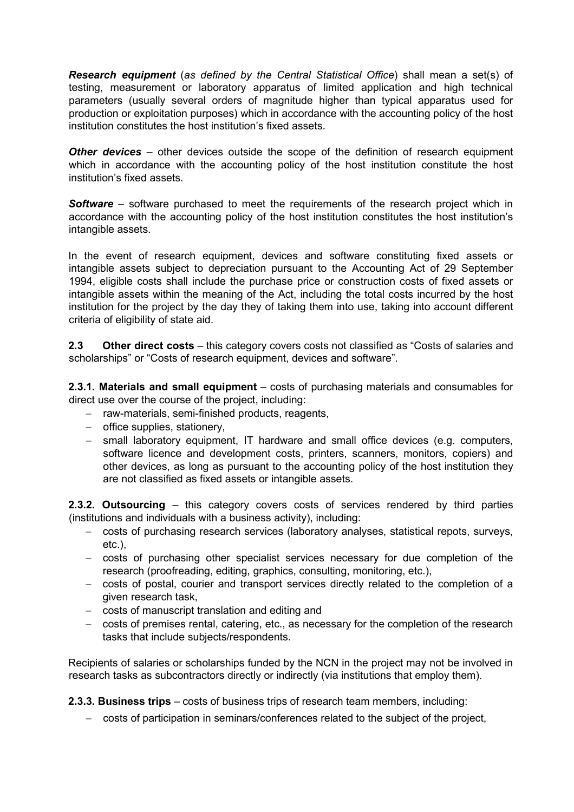*Research equipment* (*as defined by the Central Statistical Office*) shall mean a set(s) of testing, measurement or laboratory apparatus of limited application and high technical parameters (usually several orders of magnitude higher than typical apparatus used for production or exploitation purposes) which in accordance with the accounting policy of the host institution constitutes the host institution's fixed assets.

**Other devices** – other devices outside the scope of the definition of research equipment which in accordance with the accounting policy of the host institution constitute the host institution's fixed assets.

**Software** – software purchased to meet the requirements of the research project which in accordance with the accounting policy of the host institution constitutes the host institution's intangible assets.

In the event of research equipment, devices and software constituting fixed assets or intangible assets subject to depreciation pursuant to the Accounting Act of 29 September 1994, eligible costs shall include the purchase price or construction costs of fixed assets or intangible assets within the meaning of the Act, including the total costs incurred by the host institution for the project by the day they of taking them into use, taking into account different criteria of eligibility of state aid.

<span id="page-12-0"></span>**2.3 Other direct costs** – this category covers costs not classified as "Costs of salaries and scholarships" or "Costs of research equipment, devices and software".

**2.3.1. Materials and small equipment** – costs of purchasing materials and consumables for direct use over the course of the project, including:

- − raw-materials, semi-finished products, reagents,
- − office supplies, stationery,
- − small laboratory equipment, IT hardware and small office devices (e.g. computers, software licence and development costs, printers, scanners, monitors, copiers) and other devices, as long as pursuant to the accounting policy of the host institution they are not classified as fixed assets or intangible assets.

**2.3.2. Outsourcing** – this category covers costs of services rendered by third parties (institutions and individuals with a business activity), including:

- − costs of purchasing research services (laboratory analyses, statistical repots, surveys, etc.),
- − costs of purchasing other specialist services necessary for due completion of the research (proofreading, editing, graphics, consulting, monitoring, etc.),
- − costs of postal, courier and transport services directly related to the completion of a given research task,
- − costs of manuscript translation and editing and
- − costs of premises rental, catering, etc., as necessary for the completion of the research tasks that include subjects/respondents.

Recipients of salaries or scholarships funded by the NCN in the project may not be involved in research tasks as subcontractors directly or indirectly (via institutions that employ them).

**2.3.3. Business trips** – costs of business trips of research team members, including:

− costs of participation in seminars/conferences related to the subject of the project,